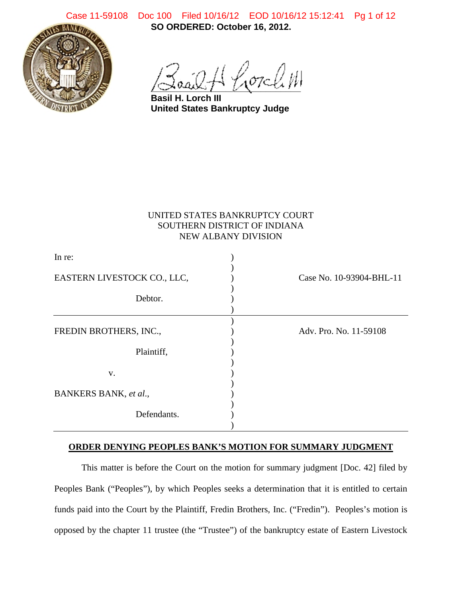**SO ORDERED: October 16, 2012.** Case 11-59108 Doc 100 Filed 10/16/12 EOD 10/16/12 15:12:41 Pg 1 of 12



.<br>07c*ll*.W

**Basil H. Lorch III United States Bankruptcy Judge**

# UNITED STATES BANKRUPTCY COURT SOUTHERN DISTRICT OF INDIANA NEW ALBANY DIVISION

| In re:                      |                          |
|-----------------------------|--------------------------|
| EASTERN LIVESTOCK CO., LLC, | Case No. 10-93904-BHL-11 |
| Debtor.                     |                          |
| FREDIN BROTHERS, INC.,      | Adv. Pro. No. 11-59108   |
| Plaintiff,                  |                          |
| V.                          |                          |
| BANKERS BANK, et al.,       |                          |
| Defendants.                 |                          |
|                             |                          |

## **ORDER DENYING PEOPLES BANK'S MOTION FOR SUMMARY JUDGMENT**

This matter is before the Court on the motion for summary judgment [Doc. 42] filed by Peoples Bank ("Peoples"), by which Peoples seeks a determination that it is entitled to certain funds paid into the Court by the Plaintiff, Fredin Brothers, Inc. ("Fredin"). Peoples's motion is opposed by the chapter 11 trustee (the "Trustee") of the bankruptcy estate of Eastern Livestock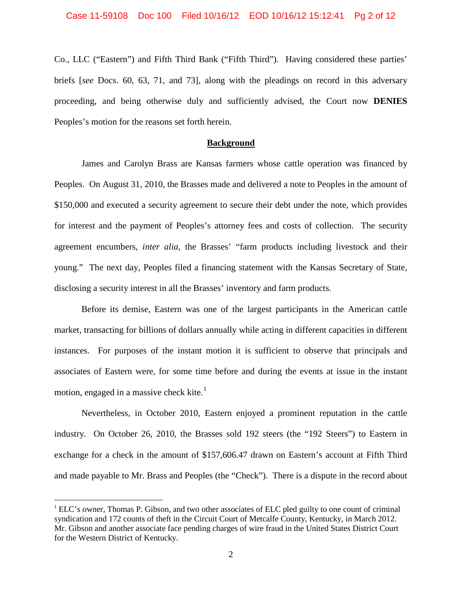Co., LLC ("Eastern") and Fifth Third Bank ("Fifth Third"). Having considered these parties' briefs [*see* Docs. 60, 63, 71, and 73], along with the pleadings on record in this adversary proceeding, and being otherwise duly and sufficiently advised, the Court now **DENIES** Peoples's motion for the reasons set forth herein.

## **Background**

James and Carolyn Brass are Kansas farmers whose cattle operation was financed by Peoples. On August 31, 2010, the Brasses made and delivered a note to Peoples in the amount of \$150,000 and executed a security agreement to secure their debt under the note, which provides for interest and the payment of Peoples's attorney fees and costs of collection. The security agreement encumbers, *inter alia*, the Brasses' "farm products including livestock and their young." The next day, Peoples filed a financing statement with the Kansas Secretary of State, disclosing a security interest in all the Brasses' inventory and farm products.

Before its demise, Eastern was one of the largest participants in the American cattle market, transacting for billions of dollars annually while acting in different capacities in different instances. For purposes of the instant motion it is sufficient to observe that principals and associates of Eastern were, for some time before and during the events at issue in the instant motion, engaged in a massive check kite. $<sup>1</sup>$  $<sup>1</sup>$  $<sup>1</sup>$ </sup>

Nevertheless, in October 2010, Eastern enjoyed a prominent reputation in the cattle industry. On October 26, 2010, the Brasses sold 192 steers (the "192 Steers") to Eastern in exchange for a check in the amount of \$157,606.47 drawn on Eastern's account at Fifth Third and made payable to Mr. Brass and Peoples (the "Check"). There is a dispute in the record about

<span id="page-1-0"></span> $1$  ELC's owner, Thomas P. Gibson, and two other associates of ELC pled guilty to one count of criminal syndication and 172 counts of theft in the Circuit Court of Metcalfe County, Kentucky, in March 2012. Mr. Gibson and another associate face pending charges of wire fraud in the United States District Court for the Western District of Kentucky.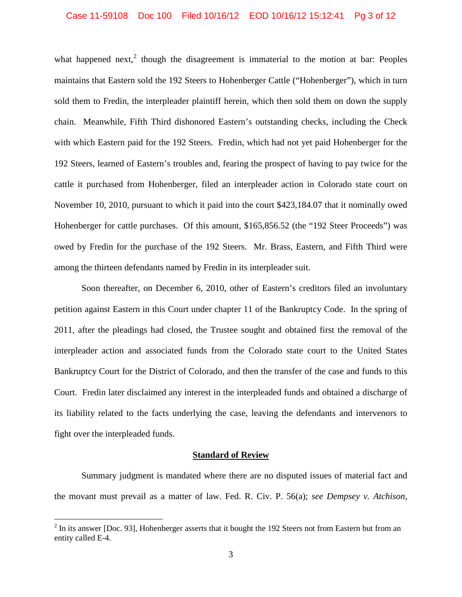what happened next, $2$  though the disagreement is immaterial to the motion at bar: Peoples maintains that Eastern sold the 192 Steers to Hohenberger Cattle ("Hohenberger"), which in turn sold them to Fredin, the interpleader plaintiff herein, which then sold them on down the supply chain. Meanwhile, Fifth Third dishonored Eastern's outstanding checks, including the Check with which Eastern paid for the 192 Steers. Fredin, which had not yet paid Hohenberger for the 192 Steers, learned of Eastern's troubles and, fearing the prospect of having to pay twice for the cattle it purchased from Hohenberger, filed an interpleader action in Colorado state court on November 10, 2010, pursuant to which it paid into the court \$423,184.07 that it nominally owed Hohenberger for cattle purchases. Of this amount, \$165,856.52 (the "192 Steer Proceeds") was owed by Fredin for the purchase of the 192 Steers. Mr. Brass, Eastern, and Fifth Third were among the thirteen defendants named by Fredin in its interpleader suit.

Soon thereafter, on December 6, 2010, other of Eastern's creditors filed an involuntary petition against Eastern in this Court under chapter 11 of the Bankruptcy Code. In the spring of 2011, after the pleadings had closed, the Trustee sought and obtained first the removal of the interpleader action and associated funds from the Colorado state court to the United States Bankruptcy Court for the District of Colorado, and then the transfer of the case and funds to this Court. Fredin later disclaimed any interest in the interpleaded funds and obtained a discharge of its liability related to the facts underlying the case, leaving the defendants and intervenors to fight over the interpleaded funds.

#### **Standard of Review**

Summary judgment is mandated where there are no disputed issues of material fact and the movant must prevail as a matter of law. Fed. R. Civ. P. 56(a); *see Dempsey v. Atchison,*

<span id="page-2-0"></span> $2$  In its answer [Doc. 93], Hohenberger asserts that it bought the 192 Steers not from Eastern but from an entity called E-4.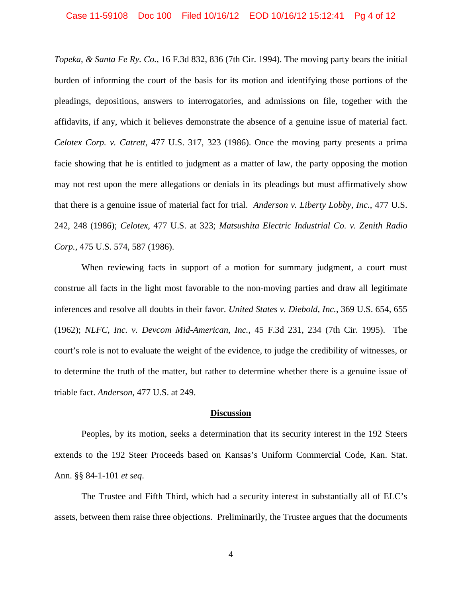*Topeka, & Santa Fe Ry. Co.*, 16 F.3d 832, 836 (7th Cir. 1994). The moving party bears the initial burden of informing the court of the basis for its motion and identifying those portions of the pleadings, depositions, answers to interrogatories, and admissions on file, together with the affidavits, if any, which it believes demonstrate the absence of a genuine issue of material fact. *Celotex Corp. v. Catrett*, 477 U.S. 317, 323 (1986). Once the moving party presents a prima facie showing that he is entitled to judgment as a matter of law, the party opposing the motion may not rest upon the mere allegations or denials in its pleadings but must affirmatively show that there is a genuine issue of material fact for trial. *Anderson v. Liberty Lobby, Inc.*, 477 U.S. 242, 248 (1986); *Celotex*, 477 U.S. at 323; *Matsushita Electric Industrial Co. v. Zenith Radio Corp.*, 475 U.S. 574, 587 (1986).

When reviewing facts in support of a motion for summary judgment, a court must construe all facts in the light most favorable to the non-moving parties and draw all legitimate inferences and resolve all doubts in their favor. *United States v. Diebold, Inc.*, 369 U.S. 654, 655 (1962); *NLFC, Inc. v. Devcom Mid-American, Inc.*, 45 F.3d 231, 234 (7th Cir. 1995). The court's role is not to evaluate the weight of the evidence, to judge the credibility of witnesses, or to determine the truth of the matter, but rather to determine whether there is a genuine issue of triable fact. *Anderson*, 477 U.S. at 249.

#### **Discussion**

Peoples, by its motion, seeks a determination that its security interest in the 192 Steers extends to the 192 Steer Proceeds based on Kansas's Uniform Commercial Code, Kan. Stat. Ann. §§ 84-1-101 *et seq*.

The Trustee and Fifth Third, which had a security interest in substantially all of ELC's assets, between them raise three objections. Preliminarily, the Trustee argues that the documents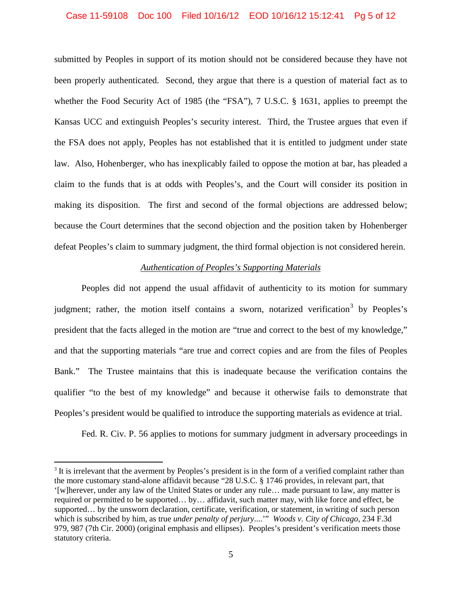#### Case 11-59108 Doc 100 Filed 10/16/12 EOD 10/16/12 15:12:41 Pg 5 of 12

submitted by Peoples in support of its motion should not be considered because they have not been properly authenticated. Second, they argue that there is a question of material fact as to whether the Food Security Act of 1985 (the "FSA"), 7 U.S.C. § 1631, applies to preempt the Kansas UCC and extinguish Peoples's security interest. Third, the Trustee argues that even if the FSA does not apply, Peoples has not established that it is entitled to judgment under state law. Also, Hohenberger, who has inexplicably failed to oppose the motion at bar, has pleaded a claim to the funds that is at odds with Peoples's, and the Court will consider its position in making its disposition. The first and second of the formal objections are addressed below; because the Court determines that the second objection and the position taken by Hohenberger defeat Peoples's claim to summary judgment, the third formal objection is not considered herein.

# *Authentication of Peoples's Supporting Materials*

Peoples did not append the usual affidavit of authenticity to its motion for summary judgment; rather, the motion itself contains a sworn, notarized verification<sup>[3](#page-4-0)</sup> by Peoples's president that the facts alleged in the motion are "true and correct to the best of my knowledge," and that the supporting materials "are true and correct copies and are from the files of Peoples Bank." The Trustee maintains that this is inadequate because the verification contains the qualifier "to the best of my knowledge" and because it otherwise fails to demonstrate that Peoples's president would be qualified to introduce the supporting materials as evidence at trial.

Fed. R. Civ. P. 56 applies to motions for summary judgment in adversary proceedings in

<span id="page-4-0"></span><sup>&</sup>lt;sup>3</sup> It is irrelevant that the averment by Peoples's president is in the form of a verified complaint rather than the more customary stand-alone affidavit because "28 U.S.C. § 1746 provides, in relevant part, that '[w]herever, under any law of the United States or under any rule… made pursuant to law, any matter is required or permitted to be supported… by… affidavit, such matter may, with like force and effect, be supported… by the unsworn declaration, certificate, verification, or statement, in writing of such person which is subscribed by him, as true *under penalty of perjury*....'" *Woods v. City of Chicago*, 234 F.3d 979, 987 (7th Cir. 2000) (original emphasis and ellipses). Peoples's president's verification meets those statutory criteria.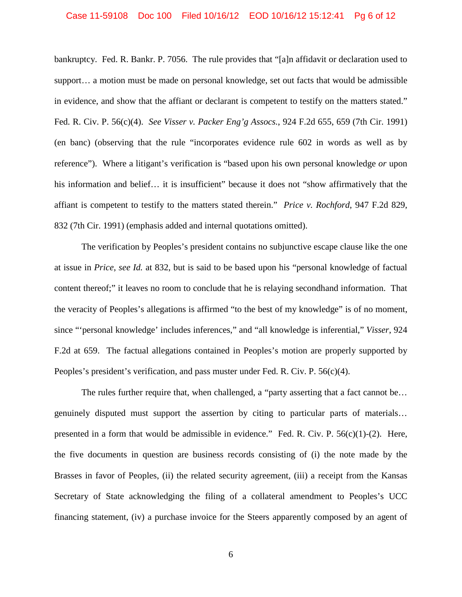#### Case 11-59108 Doc 100 Filed 10/16/12 EOD 10/16/12 15:12:41 Pg 6 of 12

bankruptcy. Fed. R. Bankr. P. 7056. The rule provides that "[a]n affidavit or declaration used to support… a motion must be made on personal knowledge, set out facts that would be admissible in evidence, and show that the affiant or declarant is competent to testify on the matters stated." Fed. R. Civ. P. 56(c)(4). *See Visser v. Packer Eng'g Assocs.*, 924 F.2d 655, 659 (7th Cir. 1991) (en banc) (observing that the rule "incorporates evidence rule 602 in words as well as by reference"). Where a litigant's verification is "based upon his own personal knowledge *or* upon his information and belief... it is insufficient" because it does not "show affirmatively that the affiant is competent to testify to the matters stated therein." *Price v. Rochford*, 947 F.2d 829, 832 (7th Cir. 1991) (emphasis added and internal quotations omitted).

The verification by Peoples's president contains no subjunctive escape clause like the one at issue in *Price*, *see Id.* at 832, but is said to be based upon his "personal knowledge of factual content thereof;" it leaves no room to conclude that he is relaying secondhand information. That the veracity of Peoples's allegations is affirmed "to the best of my knowledge" is of no moment, since "'personal knowledge' includes inferences," and "all knowledge is inferential," *Visser*, 924 F.2d at 659. The factual allegations contained in Peoples's motion are properly supported by Peoples's president's verification, and pass muster under Fed. R. Civ. P. 56(c)(4).

The rules further require that, when challenged, a "party asserting that a fact cannot be... genuinely disputed must support the assertion by citing to particular parts of materials… presented in a form that would be admissible in evidence." Fed. R. Civ. P.  $56(c)(1)-(2)$ . Here, the five documents in question are business records consisting of (i) the note made by the Brasses in favor of Peoples, (ii) the related security agreement, (iii) a receipt from the Kansas Secretary of State acknowledging the filing of a collateral amendment to Peoples's UCC financing statement, (iv) a purchase invoice for the Steers apparently composed by an agent of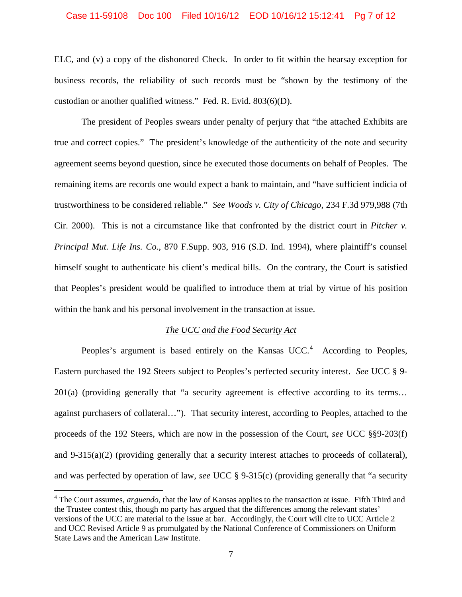#### Case 11-59108 Doc 100 Filed 10/16/12 EOD 10/16/12 15:12:41 Pg 7 of 12

ELC, and (v) a copy of the dishonored Check. In order to fit within the hearsay exception for business records, the reliability of such records must be "shown by the testimony of the custodian or another qualified witness." Fed. R. Evid. 803(6)(D).

The president of Peoples swears under penalty of perjury that "the attached Exhibits are true and correct copies." The president's knowledge of the authenticity of the note and security agreement seems beyond question, since he executed those documents on behalf of Peoples. The remaining items are records one would expect a bank to maintain, and "have sufficient indicia of trustworthiness to be considered reliable." *See Woods v. City of Chicago*, 234 F.3d 979,988 (7th Cir. 2000). This is not a circumstance like that confronted by the district court in *Pitcher v. Principal Mut. Life Ins. Co.*, 870 F.Supp. 903, 916 (S.D. Ind. 1994), where plaintiff's counsel himself sought to authenticate his client's medical bills. On the contrary, the Court is satisfied that Peoples's president would be qualified to introduce them at trial by virtue of his position within the bank and his personal involvement in the transaction at issue.

#### *The UCC and the Food Security Act*

Peoples's argument is based entirely on the Kansas  $UCC<sup>4</sup>$  $UCC<sup>4</sup>$  $UCC<sup>4</sup>$  According to Peoples, Eastern purchased the 192 Steers subject to Peoples's perfected security interest. *See* UCC § 9- 201(a) (providing generally that "a security agreement is effective according to its terms… against purchasers of collateral…"). That security interest, according to Peoples, attached to the proceeds of the 192 Steers, which are now in the possession of the Court, *see* UCC §§9-203(f) and  $9-315(a)(2)$  (providing generally that a security interest attaches to proceeds of collateral), and was perfected by operation of law, *see* UCC § 9-315(c) (providing generally that "a security

<span id="page-6-0"></span><sup>&</sup>lt;sup>4</sup> The Court assumes, *arguendo*, that the law of Kansas applies to the transaction at issue. Fifth Third and the Trustee contest this, though no party has argued that the differences among the relevant states' versions of the UCC are material to the issue at bar. Accordingly, the Court will cite to UCC Article 2 and UCC Revised Article 9 as promulgated by the National Conference of Commissioners on Uniform State Laws and the American Law Institute.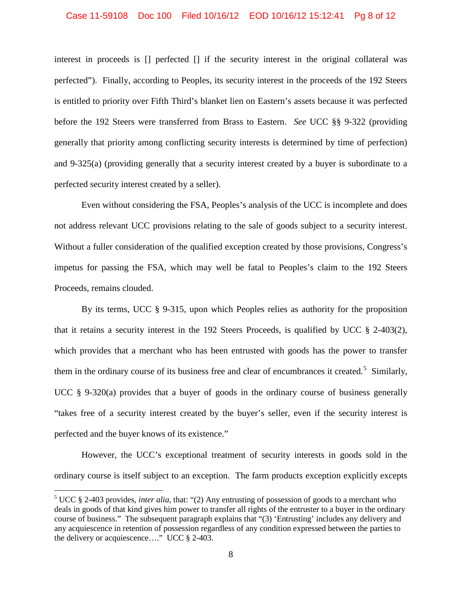#### Case 11-59108 Doc 100 Filed 10/16/12 EOD 10/16/12 15:12:41 Pg 8 of 12

interest in proceeds is [] perfected [] if the security interest in the original collateral was perfected"). Finally, according to Peoples, its security interest in the proceeds of the 192 Steers is entitled to priority over Fifth Third's blanket lien on Eastern's assets because it was perfected before the 192 Steers were transferred from Brass to Eastern. *See* UCC §§ 9-322 (providing generally that priority among conflicting security interests is determined by time of perfection) and 9-325(a) (providing generally that a security interest created by a buyer is subordinate to a perfected security interest created by a seller).

Even without considering the FSA, Peoples's analysis of the UCC is incomplete and does not address relevant UCC provisions relating to the sale of goods subject to a security interest. Without a fuller consideration of the qualified exception created by those provisions, Congress's impetus for passing the FSA, which may well be fatal to Peoples's claim to the 192 Steers Proceeds, remains clouded.

By its terms, UCC § 9-315, upon which Peoples relies as authority for the proposition that it retains a security interest in the 192 Steers Proceeds, is qualified by UCC  $\S$  2-403(2), which provides that a merchant who has been entrusted with goods has the power to transfer them in the ordinary course of its business free and clear of encumbrances it created.<sup>[5](#page-7-0)</sup> Similarly, UCC § 9-320(a) provides that a buyer of goods in the ordinary course of business generally "takes free of a security interest created by the buyer's seller, even if the security interest is perfected and the buyer knows of its existence."

However, the UCC's exceptional treatment of security interests in goods sold in the ordinary course is itself subject to an exception. The farm products exception explicitly excepts

<span id="page-7-0"></span> <sup>5</sup> UCC § 2-403 provides, *inter alia*, that: "(2) Any entrusting of possession of goods to a merchant who deals in goods of that kind gives him power to transfer all rights of the entruster to a buyer in the ordinary course of business." The subsequent paragraph explains that "(3) 'Entrusting' includes any delivery and any acquiescence in retention of possession regardless of any condition expressed between the parties to the delivery or acquiescence…." UCC § 2-403.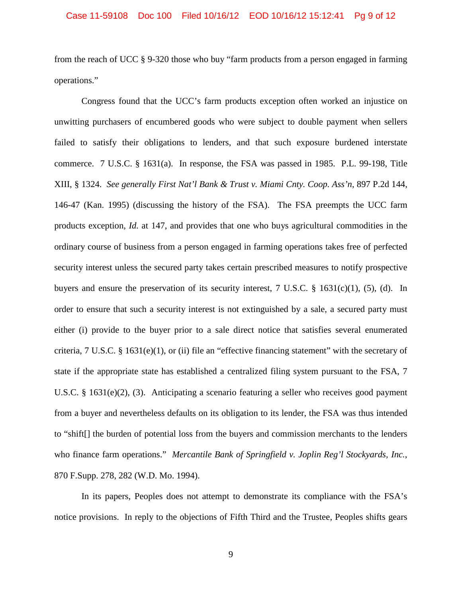from the reach of UCC § 9-320 those who buy "farm products from a person engaged in farming operations."

Congress found that the UCC's farm products exception often worked an injustice on unwitting purchasers of encumbered goods who were subject to double payment when sellers failed to satisfy their obligations to lenders, and that such exposure burdened interstate commerce. 7 U.S.C. § 1631(a). In response, the FSA was passed in 1985. P.L. 99-198, Title XIII, § 1324. *See generally First Nat'l Bank & Trust v. Miami Cnty. Coop. Ass'n*, 897 P.2d 144, 146-47 (Kan. 1995) (discussing the history of the FSA). The FSA preempts the UCC farm products exception, *Id.* at 147, and provides that one who buys agricultural commodities in the ordinary course of business from a person engaged in farming operations takes free of perfected security interest unless the secured party takes certain prescribed measures to notify prospective buyers and ensure the preservation of its security interest,  $7 \text{ U.S.C. }$  § 1631(c)(1), (5), (d). In order to ensure that such a security interest is not extinguished by a sale, a secured party must either (i) provide to the buyer prior to a sale direct notice that satisfies several enumerated criteria, 7 U.S.C. §  $1631(e)(1)$ , or (ii) file an "effective financing statement" with the secretary of state if the appropriate state has established a centralized filing system pursuant to the FSA, 7 U.S.C. § 1631(e)(2), (3). Anticipating a scenario featuring a seller who receives good payment from a buyer and nevertheless defaults on its obligation to its lender, the FSA was thus intended to "shift[] the burden of potential loss from the buyers and commission merchants to the lenders who finance farm operations." *Mercantile Bank of Springfield v. Joplin Reg'l Stockyards, Inc.*, 870 F.Supp. 278, 282 (W.D. Mo. 1994).

In its papers, Peoples does not attempt to demonstrate its compliance with the FSA's notice provisions. In reply to the objections of Fifth Third and the Trustee, Peoples shifts gears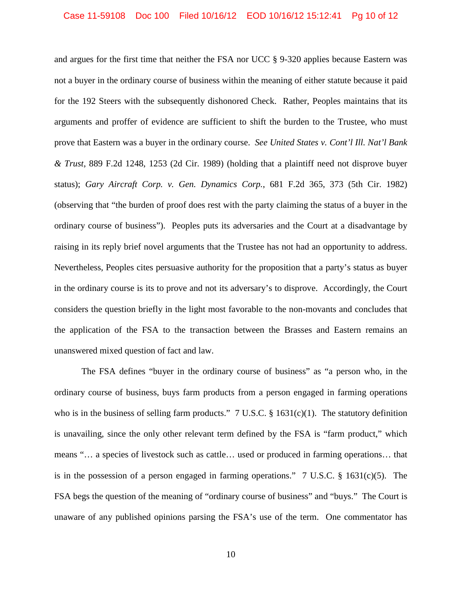and argues for the first time that neither the FSA nor UCC § 9-320 applies because Eastern was not a buyer in the ordinary course of business within the meaning of either statute because it paid for the 192 Steers with the subsequently dishonored Check. Rather, Peoples maintains that its arguments and proffer of evidence are sufficient to shift the burden to the Trustee, who must prove that Eastern was a buyer in the ordinary course. *See United States v. Cont'l Ill. Nat'l Bank & Trust*, 889 F.2d 1248, 1253 (2d Cir. 1989) (holding that a plaintiff need not disprove buyer status); *Gary Aircraft Corp. v. Gen. Dynamics Corp.*, 681 F.2d 365, 373 (5th Cir. 1982) (observing that "the burden of proof does rest with the party claiming the status of a buyer in the ordinary course of business"). Peoples puts its adversaries and the Court at a disadvantage by raising in its reply brief novel arguments that the Trustee has not had an opportunity to address. Nevertheless, Peoples cites persuasive authority for the proposition that a party's status as buyer in the ordinary course is its to prove and not its adversary's to disprove. Accordingly, the Court considers the question briefly in the light most favorable to the non-movants and concludes that the application of the FSA to the transaction between the Brasses and Eastern remains an unanswered mixed question of fact and law.

The FSA defines "buyer in the ordinary course of business" as "a person who, in the ordinary course of business, buys farm products from a person engaged in farming operations who is in the business of selling farm products."  $7 \text{ U.S.C.}$  § 1631(c)(1). The statutory definition is unavailing, since the only other relevant term defined by the FSA is "farm product," which means "… a species of livestock such as cattle… used or produced in farming operations… that is in the possession of a person engaged in farming operations." 7 U.S.C. § 1631(c)(5). The FSA begs the question of the meaning of "ordinary course of business" and "buys." The Court is unaware of any published opinions parsing the FSA's use of the term. One commentator has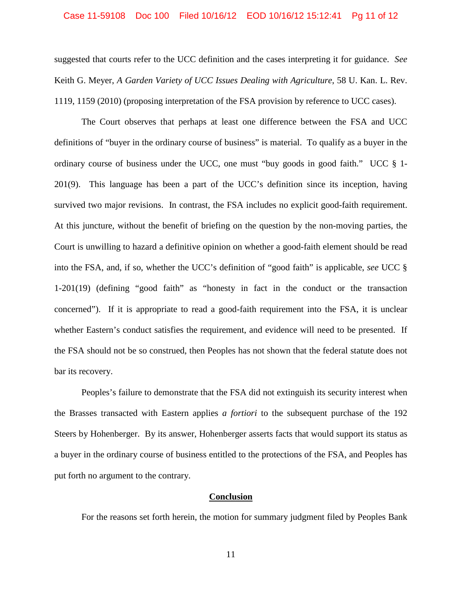#### Case 11-59108 Doc 100 Filed 10/16/12 EOD 10/16/12 15:12:41 Pg 11 of 12

suggested that courts refer to the UCC definition and the cases interpreting it for guidance. *See*  Keith G. Meyer, *A Garden Variety of UCC Issues Dealing with Agriculture*, 58 U. Kan. L. Rev. 1119, 1159 (2010) (proposing interpretation of the FSA provision by reference to UCC cases).

The Court observes that perhaps at least one difference between the FSA and UCC definitions of "buyer in the ordinary course of business" is material. To qualify as a buyer in the ordinary course of business under the UCC, one must "buy goods in good faith." UCC § 1- 201(9). This language has been a part of the UCC's definition since its inception, having survived two major revisions. In contrast, the FSA includes no explicit good-faith requirement. At this juncture, without the benefit of briefing on the question by the non-moving parties, the Court is unwilling to hazard a definitive opinion on whether a good-faith element should be read into the FSA, and, if so, whether the UCC's definition of "good faith" is applicable, *see* UCC § 1-201(19) (defining "good faith" as "honesty in fact in the conduct or the transaction concerned"). If it is appropriate to read a good-faith requirement into the FSA, it is unclear whether Eastern's conduct satisfies the requirement, and evidence will need to be presented. If the FSA should not be so construed, then Peoples has not shown that the federal statute does not bar its recovery.

Peoples's failure to demonstrate that the FSA did not extinguish its security interest when the Brasses transacted with Eastern applies *a fortiori* to the subsequent purchase of the 192 Steers by Hohenberger. By its answer, Hohenberger asserts facts that would support its status as a buyer in the ordinary course of business entitled to the protections of the FSA, and Peoples has put forth no argument to the contrary.

## **Conclusion**

For the reasons set forth herein, the motion for summary judgment filed by Peoples Bank